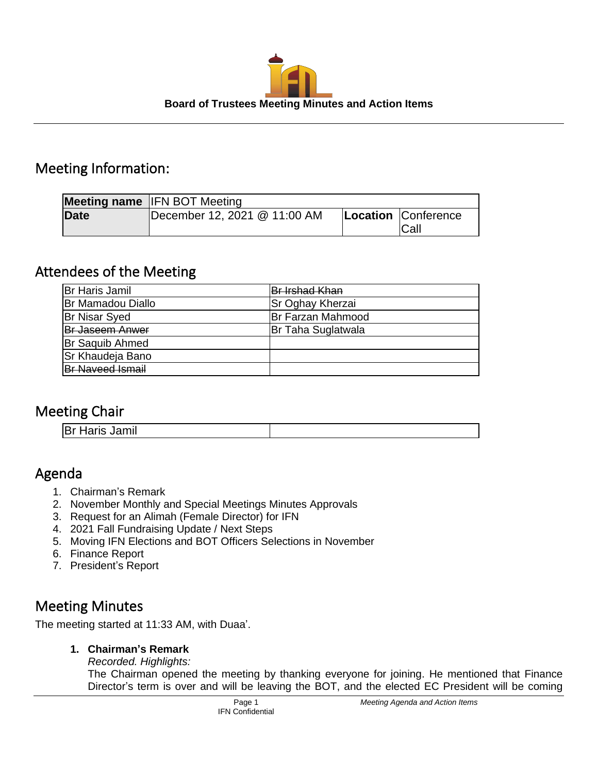

### Meeting Information:

|             | <b>Meeting name IFN BOT Meeting</b> |                             |
|-------------|-------------------------------------|-----------------------------|
| <b>Date</b> | December 12, 2021 @ 11:00 AM        | Location Conference<br>Call |

## Attendees of the Meeting

| Br Haris Jamil          | Br Irshad Khan          |
|-------------------------|-------------------------|
| Br Mamadou Diallo       | <b>Sr Oghay Kherzai</b> |
| <b>Br Nisar Syed</b>    | Br Farzan Mahmood       |
| <b>Br Jaseem Anwer</b>  | Br Taha Suglatwala      |
| <b>Br Saquib Ahmed</b>  |                         |
| <b>Sr Khaudeja Bano</b> |                         |
| <b>Br Naveed Ismail</b> |                         |

## Meeting Chair

| <b>Br Haris Jamil</b> |  |
|-----------------------|--|

## Agenda

- 1. Chairman's Remark
- 2. November Monthly and Special Meetings Minutes Approvals
- 3. Request for an Alimah (Female Director) for IFN
- 4. 2021 Fall Fundraising Update / Next Steps
- 5. Moving IFN Elections and BOT Officers Selections in November
- 6. Finance Report
- 7. President's Report

## Meeting Minutes

The meeting started at 11:33 AM, with Duaa'.

**1. Chairman's Remark**

*Recorded. Highlights:* The Chairman opened the meeting by thanking everyone for joining. He mentioned that Finance Director's term is over and will be leaving the BOT, and the elected EC President will be coming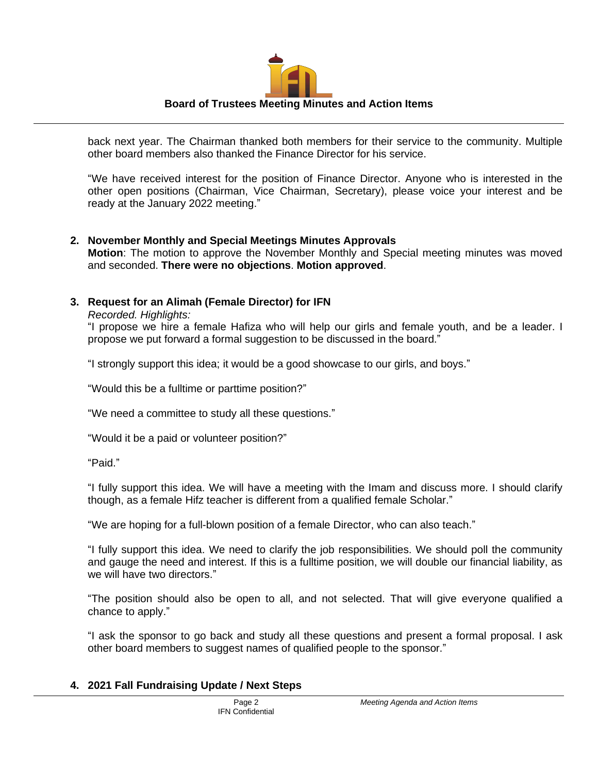# **Board of Trustees Meeting Minutes and Action Items**

back next year. The Chairman thanked both members for their service to the community. Multiple other board members also thanked the Finance Director for his service.

"We have received interest for the position of Finance Director. Anyone who is interested in the other open positions (Chairman, Vice Chairman, Secretary), please voice your interest and be ready at the January 2022 meeting."

#### **2. November Monthly and Special Meetings Minutes Approvals**

**Motion**: The motion to approve the November Monthly and Special meeting minutes was moved and seconded. **There were no objections**. **Motion approved**.

#### **3. Request for an Alimah (Female Director) for IFN**

*Recorded. Highlights:*

"I propose we hire a female Hafiza who will help our girls and female youth, and be a leader. I propose we put forward a formal suggestion to be discussed in the board."

"I strongly support this idea; it would be a good showcase to our girls, and boys."

"Would this be a fulltime or parttime position?"

"We need a committee to study all these questions."

"Would it be a paid or volunteer position?"

"Paid."

"I fully support this idea. We will have a meeting with the Imam and discuss more. I should clarify though, as a female Hifz teacher is different from a qualified female Scholar."

"We are hoping for a full-blown position of a female Director, who can also teach."

"I fully support this idea. We need to clarify the job responsibilities. We should poll the community and gauge the need and interest. If this is a fulltime position, we will double our financial liability, as we will have two directors."

"The position should also be open to all, and not selected. That will give everyone qualified a chance to apply."

"I ask the sponsor to go back and study all these questions and present a formal proposal. I ask other board members to suggest names of qualified people to the sponsor."

#### **4. 2021 Fall Fundraising Update / Next Steps**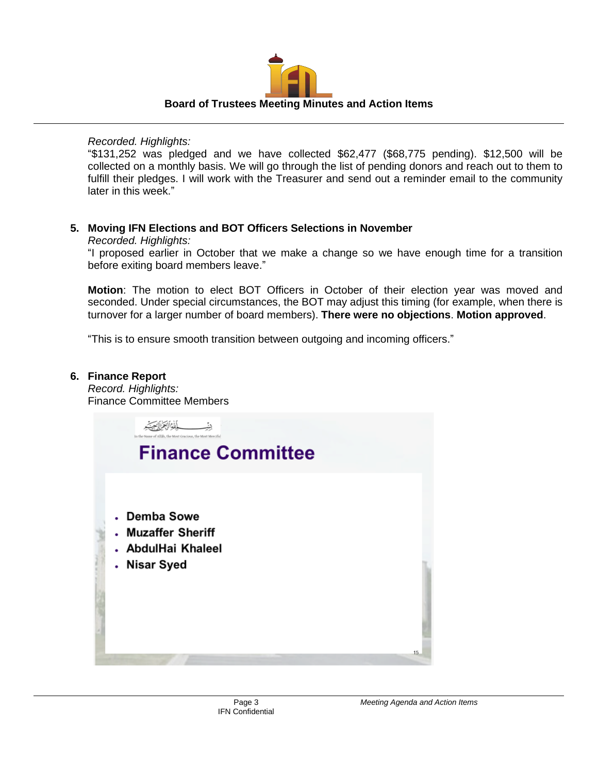

#### *Recorded. Highlights:*

"\$131,252 was pledged and we have collected \$62,477 (\$68,775 pending). \$12,500 will be collected on a monthly basis. We will go through the list of pending donors and reach out to them to fulfill their pledges. I will work with the Treasurer and send out a reminder email to the community later in this week."

#### **5. Moving IFN Elections and BOT Officers Selections in November**

#### *Recorded. Highlights:*

"I proposed earlier in October that we make a change so we have enough time for a transition before exiting board members leave."

**Motion**: The motion to elect BOT Officers in October of their election year was moved and seconded. Under special circumstances, the BOT may adjust this timing (for example, when there is turnover for a larger number of board members). **There were no objections**. **Motion approved**.

"This is to ensure smooth transition between outgoing and incoming officers."

#### **6. Finance Report**

*Record. Highlights:* Finance Committee Members

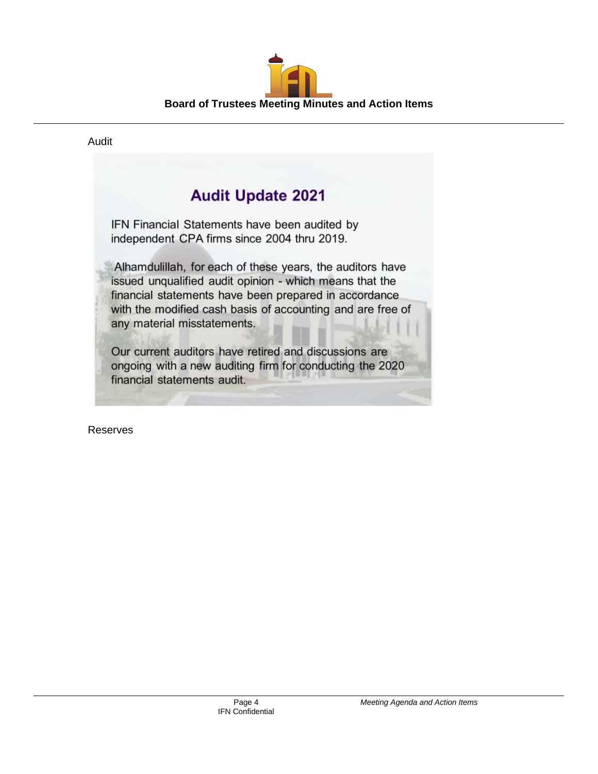

#### Audit

## **Audit Update 2021**

IFN Financial Statements have been audited by independent CPA firms since 2004 thru 2019.

Alhamdulillah, for each of these years, the auditors have issued unqualified audit opinion - which means that the financial statements have been prepared in accordance with the modified cash basis of accounting and are free of any material misstatements.

Our current auditors have retired and discussions are ongoing with a new auditing firm for conducting the 2020 financial statements audit.

Reserves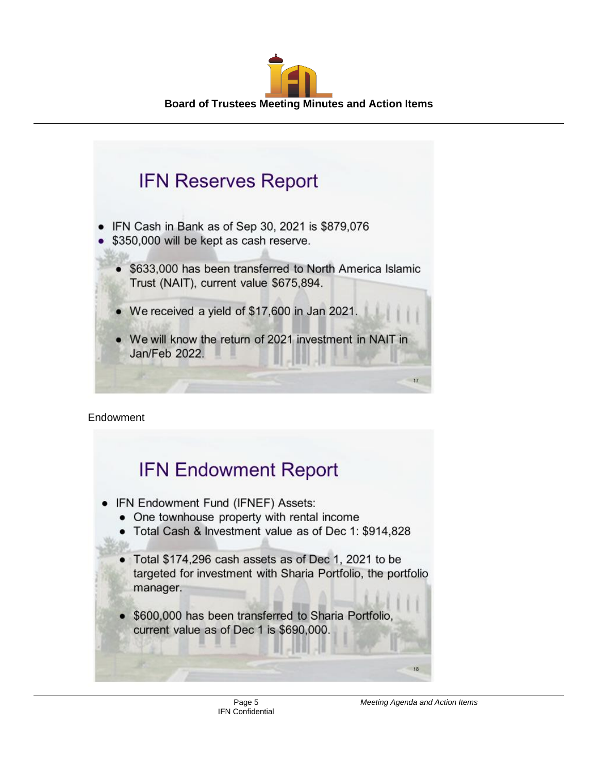



Endowment